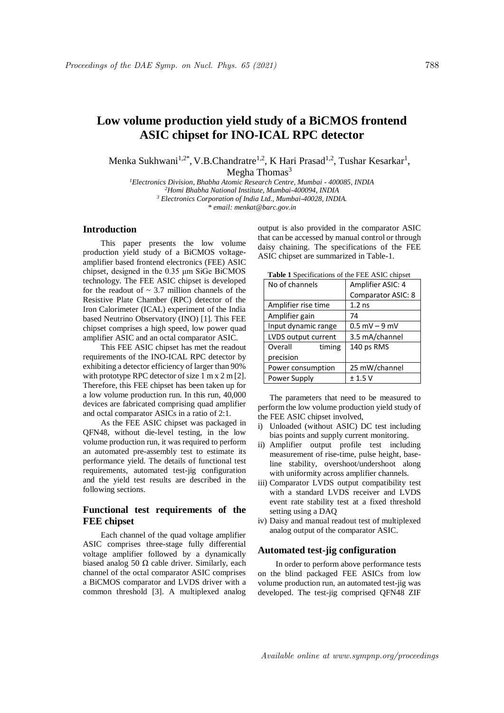# **Low volume production yield study of a BiCMOS frontend ASIC chipset for INO-ICAL RPC detector**

Menka Sukhwani<sup>1,2\*</sup>, V.B.Chandratre<sup>1,2</sup>, K Hari Prasad<sup>1,2</sup>, Tushar Kesarkar<sup>1</sup>, Megha Thomas $3$ 

*Electronics Division, Bhabha Atomic Research Centre, Mumbai - 400085, INDIA Homi Bhabha National Institute, Mumbai-400094, INDIA Electronics Corporation of India Ltd., Mumbai-40028, INDIA. \* email: menkat@barc.gov.in*

# **Introduction**

This paper presents the low volume production yield study of a BiCMOS voltageamplifier based frontend electronics (FEE) ASIC chipset, designed in the 0.35 μm SiGe BiCMOS technology. The FEE ASIC chipset is developed for the readout of  $\sim$  3.7 million channels of the Resistive Plate Chamber (RPC) detector of the Iron Calorimeter (ICAL) experiment of the India based Neutrino Observatory (INO) [1]. This FEE chipset comprises a high speed, low power quad amplifier ASIC and an octal comparator ASIC.

This FEE ASIC chipset has met the readout requirements of the INO-ICAL RPC detector by exhibiting a detector efficiency of larger than 90% with prototype RPC detector of size 1 m x 2 m [2]. Therefore, this FEE chipset has been taken up for a low volume production run. In this run, 40,000 devices are fabricated comprising quad amplifier and octal comparator ASICs in a ratio of 2:1.

As the FEE ASIC chipset was packaged in QFN48, without die-level testing, in the low volume production run, it was required to perform an automated pre-assembly test to estimate its performance yield. The details of functional test requirements, automated test-jig configuration and the yield test results are described in the following sections.

# **Functional test requirements of the FEE chipset**

Each channel of the quad voltage amplifier ASIC comprises three-stage fully differential voltage amplifier followed by a dynamically biased analog 50  $\Omega$  cable driver. Similarly, each channel of the octal comparator ASIC comprises a BiCMOS comparator and LVDS driver with a common threshold [3]. A multiplexed analog output is also provided in the comparator ASIC that can be accessed by manual control or through daisy chaining. The specifications of the FEE ASIC chipset are summarized in Table-1.

| <b>Table 1</b> Specifications of the FEE TRIC empset |                    |  |  |
|------------------------------------------------------|--------------------|--|--|
| No of channels                                       | Amplifier ASIC: 4  |  |  |
|                                                      | Comparator ASIC: 8 |  |  |
| Amplifier rise time                                  | $1.2$ ns           |  |  |
| Amplifier gain                                       | 74                 |  |  |
| Input dynamic range                                  | $0.5$ mV $-$ 9 mV  |  |  |
| LVDS output current                                  | 3.5 mA/channel     |  |  |
| Overall<br>timing                                    | 140 ps RMS         |  |  |
| precision                                            |                    |  |  |
| Power consumption                                    | 25 mW/channel      |  |  |
| Power Supply                                         | ± 1.5 V            |  |  |

**Table 1** Specifications of the FEE ASIC chipset

The parameters that need to be measured to perform the low volume production yield study of the FEE ASIC chipset involved,

- i) Unloaded (without ASIC) DC test including bias points and supply current monitoring.
- ii) Amplifier output profile test including measurement of rise-time, pulse height, baseline stability, overshoot/undershoot along with uniformity across amplifier channels.
- iii) Comparator LVDS output compatibility test with a standard LVDS receiver and LVDS event rate stability test at a fixed threshold setting using a DAQ
- iv) Daisy and manual readout test of multiplexed analog output of the comparator ASIC.

#### **Automated test-jig configuration**

In order to perform above performance tests on the blind packaged FEE ASICs from low volume production run, an automated test-jig was developed. The test-jig comprised QFN48 ZIF